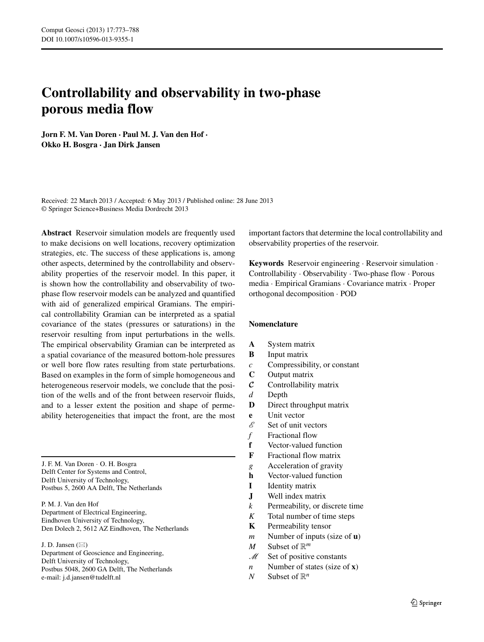# **Controllability and observability in two-phase porous media flow**

**Jorn F. M. Van Doren · Paul M. J. Van den Hof · Okko H. Bosgra · Jan Dirk Jansen**

Received: 22 March 2013 / Accepted: 6 May 2013 / Published online: 28 June 2013 © Springer Science+Business Media Dordrecht 2013

**Abstract** Reservoir simulation models are frequently used to make decisions on well locations, recovery optimization strategies, etc. The success of these applications is, among other aspects, determined by the controllability and observability properties of the reservoir model. In this paper, it is shown how the controllability and observability of twophase flow reservoir models can be analyzed and quantified with aid of generalized empirical Gramians. The empirical controllability Gramian can be interpreted as a spatial covariance of the states (pressures or saturations) in the reservoir resulting from input perturbations in the wells. The empirical observability Gramian can be interpreted as a spatial covariance of the measured bottom-hole pressures or well bore flow rates resulting from state perturbations. Based on examples in the form of simple homogeneous and heterogeneous reservoir models, we conclude that the position of the wells and of the front between reservoir fluids, and to a lesser extent the position and shape of permeability heterogeneities that impact the front, are the most

J. F. M. Van Doren · O. H. Bosgra Delft Center for Systems and Control, Delft University of Technology, Postbus 5, 2600 AA Delft, The Netherlands

P. M. J. Van den Hof Department of Electrical Engineering, Eindhoven University of Technology, Den Dolech 2, 5612 AZ Eindhoven, The Netherlands

J. D. Jansen  $(\boxtimes)$ Department of Geoscience and Engineering, Delft University of Technology, Postbus 5048, 2600 GA Delft, The Netherlands e-mail: [j.d.jansen@tudelft.nl](mailto:j.d.jansen@tudelft.nl)

important factors that determine the local controllability and observability properties of the reservoir.

**Keywords** Reservoir engineering · Reservoir simulation · Controllability · Observability · Two-phase flow · Porous media · Empirical Gramians · Covariance matrix · Proper orthogonal decomposition · POD

# **Nomenclature**

- **A** System matrix
- **B** Input matrix
- *c* Compressibility, or constant
- **C** Output matrix
- *C* Controllability matrix *d* Depth
- *d* Depth
- **D** Direct throughput matrix
- **e** Unit vector
- *E* Set of unit vectors
- *f* Fractional flow
- **f** Vector-valued function
- **F** Fractional flow matrix
- *g* Acceleration of gravity
- **h** Vector-valued function
- **I** Identity matrix
- **J** Well index matrix
- *k* Permeability, or discrete time
- *K* Total number of time steps
- **K** Permeability tensor
- *m* Number of inputs (size of **u**)
- *M* Subset of R*<sup>m</sup>*
- *M* Set of positive constants
- *n* Number of states (size of **x**)
- *N* Subset of  $\mathbb{R}^n$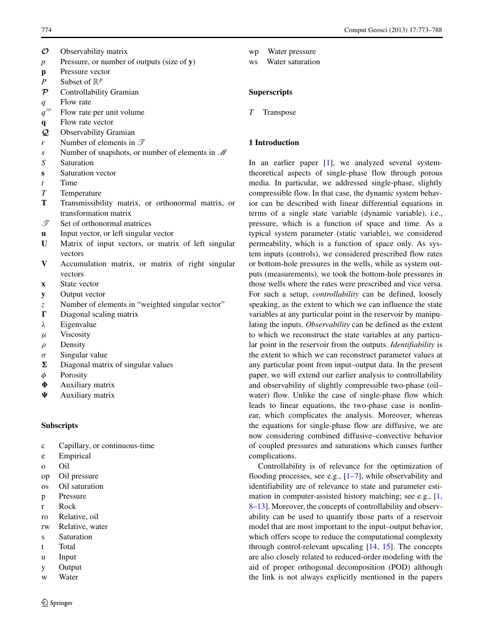- $\mathcal{O}$  Observability matrix<br>*p* Pressure, or number
- *p* Pressure, or number of outputs (size of **y**)
- **p** Pressure vector
- *P* Subset of  $\mathbb{R}^p$
- *P* Controllability Gramian
- *q* Flow rate
- q''' Flow rate per unit volume
- **q** Flow rate vector
- **Q** Observability Gramian<br>*r* Number of elements in
- *r* Number of elements in *T*
- *s* Number of snapshots, or number of elements in *M*
- *S* Saturation
- **s** Saturation vector
- *t* Time
- *T* Temperature
- **T** Transmissibility matrix, or orthonormal matrix, or transformation matrix
- *T* Set of orthonormal matrices
- **u** Input vector, or left singular vector
- **U** Matrix of input vectors, or matrix of left singular vectors
- **V** Accumulation matrix, or matrix of right singular vectors
- **x** State vector
- **y** Output vector
- *z* Number of elements in "weighted singular vector"
- $\Gamma$ Diagonal scaling matrix
- *λ* Eigenvalue
- *μ* Viscosity
- *ρ* Density
- *σ* Singular value
- $\Sigma$  Diagonal matrix of singular values
- *φ* Porosity
- Auxiliary matrix
- $\Psi$  Auxiliary matrix

# **Subscripts**

- c Capillary, or continuous-time
- e Empirical
- o Oil
- op Oil pressure
- os Oil saturation
- p Pressure
- r Rock
- ro Relative, oil
- rw Relative, water
- s Saturation
- t Total
- u Input
- y Output
- w Water
- wp Water pressure
- ws Water saturation

# **Superscripts**

*T* Transpose

# **1 Introduction**

In an earlier paper [\[1\]](#page-15-0), we analyzed several systemtheoretical aspects of single-phase flow through porous media. In particular, we addressed single-phase, slightly compressible flow. In that case, the dynamic system behavior can be described with linear differential equations in terms of a single state variable (dynamic variable), i.e., pressure, which is a function of space and time. As a typical system parameter (static variable), we considered permeability, which is a function of space only. As system inputs (controls), we considered prescribed flow rates or bottom-hole pressures in the wells, while as system outputs (measurements), we took the bottom-hole pressures in those wells where the rates were prescribed and vice versa. For such a setup, *controllability* can be defined, loosely speaking, as the extent to which we can influence the state variables at any particular point in the reservoir by manipulating the inputs. *Observability* can be defined as the extent to which we reconstruct the state variables at any particular point in the reservoir from the outputs. *Identifiability* is the extent to which we can reconstruct parameter values at any particular point from input–output data. In the present paper, we will extend our earlier analysis to controllability and observability of slightly compressible two-phase (oil– water) flow. Unlike the case of single-phase flow which leads to linear equations, the two-phase case is nonlinear, which complicates the analysis. Moreover, whereas the equations for single-phase flow are diffusive, we are now considering combined diffusive–convective behavior of coupled pressures and saturations which causes further complications.

Controllability is of relevance for the optimization of flooding processes, see e.g.,  $[1-7]$  $[1-7]$ , while observability and identifiability are of relevance to state and parameter estimation in computer-assisted history matching; see e.g., [\[1,](#page-15-0) [8](#page-15-2)[–13\]](#page-15-3). Moreover, the concepts of controllability and observability can be used to quantify those parts of a reservoir model that are most important to the input–output behavior, which offers scope to reduce the computational complexity through control-relevant upscaling [\[14,](#page-15-4) [15\]](#page-15-5). The concepts are also closely related to reduced-order modeling with the aid of proper orthogonal decomposition (POD) although the link is not always explicitly mentioned in the papers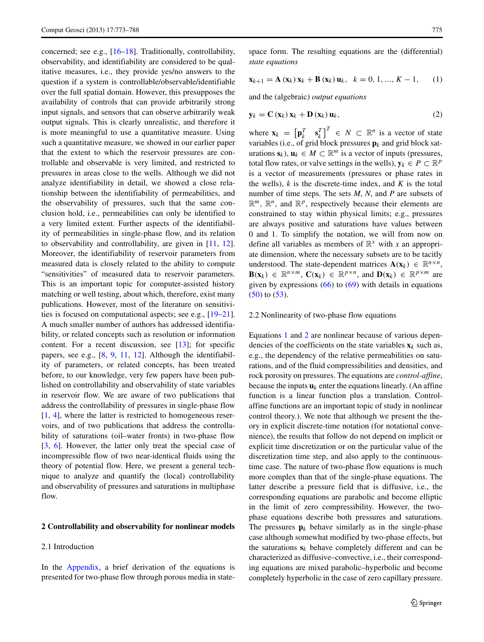concerned; see e.g., [\[16–](#page-15-6)[18\]](#page-15-7). Traditionally, controllability, observability, and identifiability are considered to be qualitative measures, i.e., they provide yes/no answers to the question if a system is controllable/observable/identifiable over the full spatial domain. However, this presupposes the availability of controls that can provide arbitrarily strong input signals, and sensors that can observe arbitrarily weak output signals. This is clearly unrealistic, and therefore it is more meaningful to use a quantitative measure. Using such a quantitative measure, we showed in our earlier paper that the extent to which the reservoir pressures are controllable and observable is very limited, and restricted to pressures in areas close to the wells. Although we did not analyze identifiability in detail, we showed a close relationship between the identifiability of permeabilities, and the observability of pressures, such that the same conclusion hold, i.e., permeabilities can only be identified to a very limited extent. Further aspects of the identifiability of permeabilities in single-phase flow, and its relation to observability and controllability, are given in [\[11,](#page-15-8) [12\]](#page-15-9). Moreover, the identifiability of reservoir parameters from measured data is closely related to the ability to compute "sensitivities" of measured data to reservoir parameters. This is an important topic for computer-assisted history matching or well testing, about which, therefore, exist many publications. However, most of the literature on sensitivities is focused on computational aspects; see e.g., [\[19](#page-15-10)[–21\]](#page-15-11). A much smaller number of authors has addressed identifiability, or related concepts such as resolution or information content. For a recent discussion, see [\[13\]](#page-15-3); for specific papers, see e.g., [\[8,](#page-15-2) [9,](#page-15-12) [11,](#page-15-8) [12\]](#page-15-9). Although the identifiability of parameters, or related concepts, has been treated before, to our knowledge, very few papers have been published on controllability and observability of state variables in reservoir flow. We are aware of two publications that address the controllability of pressures in single-phase flow [\[1,](#page-15-0) [4\]](#page-15-13), where the latter is restricted to homogeneous reservoirs, and of two publications that address the controllability of saturations (oil–water fronts) in two-phase flow [\[3,](#page-15-14) [6\]](#page-15-15). However, the latter only treat the special case of incompressible flow of two near-identical fluids using the theory of potential flow. Here, we present a general technique to analyze and quantify the (local) controllability and observability of pressures and saturations in multiphase flow.

#### **2 Controllability and observability for nonlinear models**

#### 2.1 Introduction

In the [Appendix,](#page-12-0) a brief derivation of the equations is presented for two-phase flow through porous media in state<span id="page-2-0"></span>space form. The resulting equations are the (differential) *state equations*

<span id="page-2-1"></span>
$$
\mathbf{x}_{k+1} = \mathbf{A} \left( \mathbf{x}_{k} \right) \mathbf{x}_{k} + \mathbf{B} \left( \mathbf{x}_{k} \right) \mathbf{u}_{k}, \quad k = 0, 1, ..., K - 1, \quad (1)
$$

and the (algebraic) *output equations*

$$
\mathbf{y}_k = \mathbf{C} \left( \mathbf{x}_k \right) \mathbf{x}_k + \mathbf{D} \left( \mathbf{x}_k \right) \mathbf{u}_k, \tag{2}
$$

where  $\mathbf{x}_k = \begin{bmatrix} \mathbf{p}_k^T & \mathbf{s}_k^T \end{bmatrix}^T \in N \subset \mathbb{R}^n$  is a vector of state variables (i.e., of grid block pressures  $\mathbf{p}_k$  and grid block saturations  $\mathbf{s}_k$ ),  $\mathbf{u}_k \in M \subset \mathbb{R}^m$  is a vector of inputs (pressures, total flow rates, or valve settings in the wells),  $y_k \in P \subset \mathbb{R}^p$ is a vector of measurements (pressures or phase rates in the wells),  $k$  is the discrete-time index, and  $K$  is the total number of time steps. The sets *M*, *N*, and *P* are subsets of  $\mathbb{R}^m$ ,  $\mathbb{R}^n$ , and  $\mathbb{R}^p$ , respectively because their elements are constrained to stay within physical limits; e.g., pressures are always positive and saturations have values between 0 and 1. To simplify the notation, we will from now on define all variables as members of  $\mathbb{R}^x$  with *x* an appropriate dimension, where the necessary subsets are to be tacitly understood. The state-dependent matrices  $\mathbf{A}(\mathbf{x}_k) \in \mathbb{R}^{n \times n}$ ,  $\mathbf{B}(\mathbf{x}_k) \in \mathbb{R}^{n \times m}$ ,  $\mathbf{C}(\mathbf{x}_k) \in \mathbb{R}^{p \times n}$ , and  $\mathbf{D}(\mathbf{x}_k) \in \mathbb{R}^{p \times m}$  are given by expressions  $(66)$  to  $(69)$  with details in equations  $(50)$  to  $(53)$ .

# <span id="page-2-2"></span>2.2 Nonlinearity of two-phase flow equations

Equations [1](#page-2-0) and [2](#page-2-1) are nonlinear because of various dependencies of the coefficients on the state variables  $\mathbf{x}_k$  such as, e.g., the dependency of the relative permeabilities on saturations, and of the fluid compressibilities and densities, and rock porosity on pressures. The equations are *control-affine*, because the inputs  $\mathbf{u}_k$  enter the equations linearly. (An affine function is a linear function plus a translation. Controlaffine functions are an important topic of study in nonlinear control theory.). We note that although we present the theory in explicit discrete-time notation (for notational convenience), the results that follow do not depend on implicit or explicit time discretization or on the particular value of the discretization time step, and also apply to the continuoustime case. The nature of two-phase flow equations is much more complex than that of the single-phase equations. The latter describe a pressure field that is diffusive, i.e., the corresponding equations are parabolic and become elliptic in the limit of zero compressibility. However, the twophase equations describe both pressures and saturations. The pressures  $\mathbf{p}_k$  behave similarly as in the single-phase case although somewhat modified by two-phase effects, but the saturations  $s_k$  behave completely different and can be characterized as diffusive–convective, i.e., their corresponding equations are mixed parabolic–hyperbolic and become completely hyperbolic in the case of zero capillary pressure.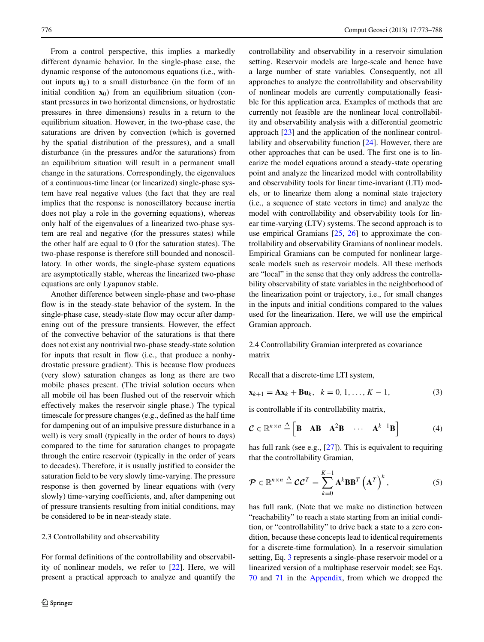From a control perspective, this implies a markedly different dynamic behavior. In the single-phase case, the dynamic response of the autonomous equations (i.e., without inputs  $\mathbf{u}_k$ ) to a small disturbance (in the form of an initial condition **x**0) from an equilibrium situation (constant pressures in two horizontal dimensions, or hydrostatic pressures in three dimensions) results in a return to the equilibrium situation. However, in the two-phase case, the saturations are driven by convection (which is governed by the spatial distribution of the pressures), and a small disturbance (in the pressures and/or the saturations) from an equilibrium situation will result in a permanent small change in the saturations. Correspondingly, the eigenvalues of a continuous-time linear (or linearized) single-phase system have real negative values (the fact that they are real implies that the response is nonoscillatory because inertia does not play a role in the governing equations), whereas only half of the eigenvalues of a linearized two-phase system are real and negative (for the pressures states) while the other half are equal to 0 (for the saturation states). The two-phase response is therefore still bounded and nonoscillatory. In other words, the single-phase system equations are asymptotically stable, whereas the linearized two-phase equations are only Lyapunov stable.

Another difference between single-phase and two-phase flow is in the steady-state behavior of the system. In the single-phase case, steady-state flow may occur after dampening out of the pressure transients. However, the effect of the convective behavior of the saturations is that there does not exist any nontrivial two-phase steady-state solution for inputs that result in flow (i.e., that produce a nonhydrostatic pressure gradient). This is because flow produces (very slow) saturation changes as long as there are two mobile phases present. (The trivial solution occurs when all mobile oil has been flushed out of the reservoir which effectively makes the reservoir single phase.) The typical timescale for pressure changes (e.g., defined as the half time for dampening out of an impulsive pressure disturbance in a well) is very small (typically in the order of hours to days) compared to the time for saturation changes to propagate through the entire reservoir (typically in the order of years to decades). Therefore, it is usually justified to consider the saturation field to be very slowly time-varying. The pressure response is then governed by linear equations with (very slowly) time-varying coefficients, and, after dampening out of pressure transients resulting from initial conditions, may be considered to be in near-steady state.

#### 2.3 Controllability and observability

For formal definitions of the controllability and observability of nonlinear models, we refer to [\[22\]](#page-15-16). Here, we will present a practical approach to analyze and quantify the controllability and observability in a reservoir simulation setting. Reservoir models are large-scale and hence have a large number of state variables. Consequently, not all approaches to analyze the controllability and observability of nonlinear models are currently computationally feasible for this application area. Examples of methods that are currently not feasible are the nonlinear local controllability and observability analysis with a differential geometric approach [\[23\]](#page-15-17) and the application of the nonlinear controllability and observability function [\[24\]](#page-15-18). However, there are other approaches that can be used. The first one is to linearize the model equations around a steady-state operating point and analyze the linearized model with controllability and observability tools for linear time-invariant (LTI) models, or to linearize them along a nominal state trajectory (i.e., a sequence of state vectors in time) and analyze the model with controllability and observability tools for linear time-varying (LTV) systems. The second approach is to use empirical Gramians  $[25, 26]$  $[25, 26]$  $[25, 26]$  to approximate the controllability and observability Gramians of nonlinear models. Empirical Gramians can be computed for nonlinear largescale models such as reservoir models. All these methods are "local" in the sense that they only address the controllability observability of state variables in the neighborhood of the linearization point or trajectory, i.e., for small changes in the inputs and initial conditions compared to the values used for the linearization. Here, we will use the empirical Gramian approach.

2.4 Controllability Gramian interpreted as covariance matrix

<span id="page-3-0"></span>Recall that a discrete-time LTI system,

$$
\mathbf{x}_{k+1} = \mathbf{A}\mathbf{x}_k + \mathbf{B}\mathbf{u}_k, \ \ k = 0, 1, \dots, K - 1,
$$
 (3)

is controllable if its controllability matrix,

$$
\mathcal{C} \in \mathbb{R}^{n \times n} \stackrel{\Delta}{=} \begin{bmatrix} \mathbf{B} & \mathbf{A} \mathbf{B} & \mathbf{A}^2 \mathbf{B} & \cdots & \mathbf{A}^{k-1} \mathbf{B} \end{bmatrix}
$$
 (4)

has full rank (see e.g., [\[27\]](#page-15-21)). This is equivalent to requiring that the controllability Gramian,

<span id="page-3-1"></span>
$$
\mathcal{P} \in \mathbb{R}^{n \times n} \stackrel{\Delta}{=} \mathcal{CC}^T = \sum_{k=0}^{K-1} \mathbf{A}^k \mathbf{B} \mathbf{B}^T \left( \mathbf{A}^T \right)^k, \tag{5}
$$

has full rank. (Note that we make no distinction between "reachability" to reach a state starting from an initial condition, or "controllability" to drive back a state to a zero condition, because these concepts lead to identical requirements for a discrete-time formulation). In a reservoir simulation setting, Eq. [3](#page-3-0) represents a single-phase reservoir model or a linearized version of a multiphase reservoir model; see Eqs. [70](#page-14-2) and [71](#page-14-3) in the [Appendix,](#page-12-0) from which we dropped the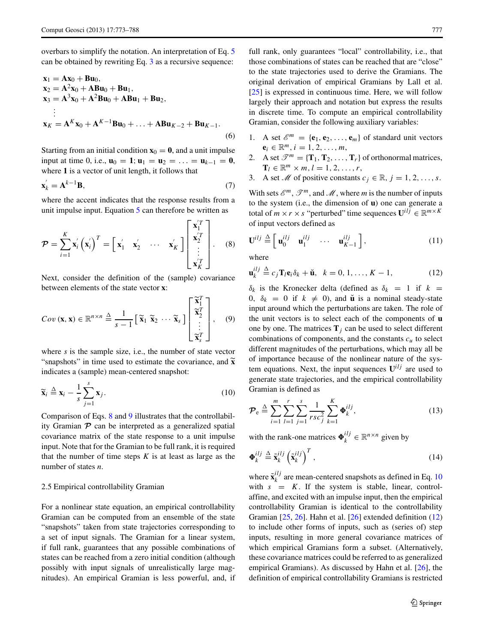overbars to simplify the notation. An interpretation of Eq. [5](#page-3-1) can be obtained by rewriting Eq. [3](#page-3-0) as a recursive sequence:

$$
x_1 = Ax_0 + Bu_0,
$$
  
\n
$$
x_2 = A^2x_0 + ABu_0 + Bu_1,
$$
  
\n
$$
x_3 = A^3x_0 + A^2Bu_0 + ABu_1 + Bu_2,
$$
  
\n
$$
\vdots
$$
  
\n
$$
x_K = A^Kx_0 + A^{K-1}Bu_0 + ... + ABu_{K-2} + Bu_{K-1}.
$$
  
\n(6)

Starting from an initial condition  $\mathbf{x}_0 = \mathbf{0}$ , and a unit impulse input at time 0, i.e.,  $\mathbf{u}_0 = 1$ ;  $\mathbf{u}_1 = \mathbf{u}_2 = \ldots = \mathbf{u}_{k-1} = 0$ , where **1** is a vector of unit length, it follows that

$$
\mathbf{x}'_k = \mathbf{A}^{k-1} \mathbf{B},\tag{7}
$$

where the accent indicates that the response results from a unit impulse input. Equation [5](#page-3-1) can therefore be written as

$$
\mathcal{P} = \sum_{i=1}^{K} \mathbf{x}'_i \left( \mathbf{x}'_i \right)^T = \begin{bmatrix} \mathbf{x}'_1 & \mathbf{x}'_2 & \cdots & \mathbf{x}'_K \end{bmatrix} \begin{bmatrix} \mathbf{x}'_1^T \\ \mathbf{x}'_2^T \\ \vdots \\ \mathbf{x}'_K^T \end{bmatrix} . \tag{8}
$$

Next, consider the definition of the (sample) covariance between elements of the state vector **x**:

$$
Cov(\mathbf{x}, \mathbf{x}) \in \mathbb{R}^{n \times n} \stackrel{\Delta}{=} \frac{1}{s-1} \left[ \widetilde{\mathbf{x}}_1 \ \widetilde{\mathbf{x}}_2 \ \cdots \ \widetilde{\mathbf{x}}_s \ \right] \begin{bmatrix} \widetilde{\mathbf{x}}_1^T \\ \widetilde{\mathbf{x}}_2^T \\ \vdots \\ \widetilde{\mathbf{x}}_s^T \end{bmatrix}, \quad (9)
$$

where *s* is the sample size, i.e., the number of state vector "snapshots" in time used to estimate the covariance, and  $\tilde{\mathbf{x}}$ indicates a (sample) mean-centered snapshot:

$$
\widetilde{\mathbf{x}}_i \stackrel{\Delta}{=} \mathbf{x}_i - \frac{1}{s} \sum_{j=1}^s \mathbf{x}_j.
$$
 (10)

Comparison of Eqs. [8](#page-4-0) and [9](#page-4-1) illustrates that the controllability Gramian  $P$  can be interpreted as a generalized spatial covariance matrix of the state response to a unit impulse input. Note that for the Gramian to be full rank, it is required that the number of time steps  $K$  is at least as large as the number of states *n*.

# 2.5 Empirical controllability Gramian

For a nonlinear state equation, an empirical controllability Gramian can be computed from an ensemble of the state "snapshots" taken from state trajectories corresponding to a set of input signals. The Gramian for a linear system, if full rank, guarantees that any possible combinations of states can be reached from a zero initial condition (although possibly with input signals of unrealistically large magnitudes). An empirical Gramian is less powerful, and, if full rank, only guarantees "local" controllability, i.e., that those combinations of states can be reached that are "close" to the state trajectories used to derive the Gramians. The original derivation of empirical Gramians by Lall et al. [\[25\]](#page-15-19) is expressed in continuous time. Here, we will follow largely their approach and notation but express the results in discrete time. To compute an empirical controllability Gramian, consider the following auxiliary variables:

- 1. A set  $\mathcal{E}^m = \{\mathbf{e}_1, \mathbf{e}_2, \dots, \mathbf{e}_m\}$  of standard unit vectors  $e_i \in \mathbb{R}^m, i = 1, 2, ..., m$
- 2. A set  $\mathscr{T}^m = \{T_1, T_2, \ldots, T_r\}$  of orthonormal matrices,  $\mathbf{T}_l \in \mathbb{R}^m \times m, l = 1, 2, \ldots, r$ ,
- 3. A set *M* of positive constants  $c_j \in \mathbb{R}, j = 1, 2, \ldots, s$ .

<span id="page-4-0"></span>With sets  $\mathcal{E}^m$ ,  $\mathcal{T}^m$ , and  $\mathcal{M}$ , where *m* is the number of inputs to the system (i.e., the dimension of **u**) one can generate a total of  $m \times r \times s$  "perturbed" time sequences  $\mathbf{U}^{i l j} \in \mathbb{R}^{m \times K}$ of input vectors defined as

$$
\mathbf{U}^{i l j} \stackrel{\Delta}{=} \begin{bmatrix} \mathbf{u}_0^{i l j} & \mathbf{u}_1^{i l j} & \cdots & \mathbf{u}_{K-1}^{i l j} \end{bmatrix},\tag{11}
$$

<span id="page-4-3"></span>where

$$
\mathbf{u}_{k}^{ilj} \stackrel{\Delta}{=} c_{j} \mathbf{T}_{l} \mathbf{e}_{i} \delta_{k} + \breve{\mathbf{u}}, \ \ k = 0, 1, \dots, K - 1,
$$
 (12)

<span id="page-4-1"></span>*δ<sub>k</sub>* is the Kronecker delta (defined as  $δ_k = 1$  if  $k =$ 0,  $\delta_k = 0$  if  $k \neq 0$ , and **u** is a nominal steady-state input around which the perturbations are taken. The role of the unit vectors is to select each of the components of **u** one by one. The matrices  $\mathbf{T}_i$  can be used to select different combinations of components, and the constants *cu* to select different magnitudes of the perturbations, which may all be of importance because of the nonlinear nature of the system equations. Next, the input sequences **U***ilj* are used to generate state trajectories, and the empirical controllability Gramian is defined as

<span id="page-4-2"></span>
$$
\mathcal{P}_{e} \triangleq \sum_{i=1}^{m} \sum_{l=1}^{r} \sum_{j=1}^{s} \frac{1}{r s c_{j}^{2}} \sum_{k=1}^{K} \Phi_{k}^{i l j},
$$
\n(13)

with the rank-one matrices  $\Phi_k^{i,j} \in \mathbb{R}^{n \times n}$  given by

$$
\boldsymbol{\Phi}_k^{i l j} \stackrel{\Delta}{=} \tilde{\mathbf{x}}_k^{i l j} \left(\tilde{\mathbf{x}}_k^{i l j}\right)^T, \tag{14}
$$

where  $\tilde{\mathbf{x}}_k^{i l j}$  are mean-centered snapshots as defined in Eq. [10](#page-4-2) with  $s = K$ . If the system is stable, linear, controlaffine, and excited with an impulse input, then the empirical controllability Gramian is identical to the controllability Gramian [\[25,](#page-15-19) [26\]](#page-15-20). Hahn et al. [\[26\]](#page-15-20) extended definition [\(12\)](#page-4-3) to include other forms of inputs, such as (series of) step inputs, resulting in more general covariance matrices of which empirical Gramians form a subset. (Alternatively, these covariance matrices could be referred to as generalized empirical Gramians). As discussed by Hahn et al. [\[26\]](#page-15-20), the definition of empirical controllability Gramians is restricted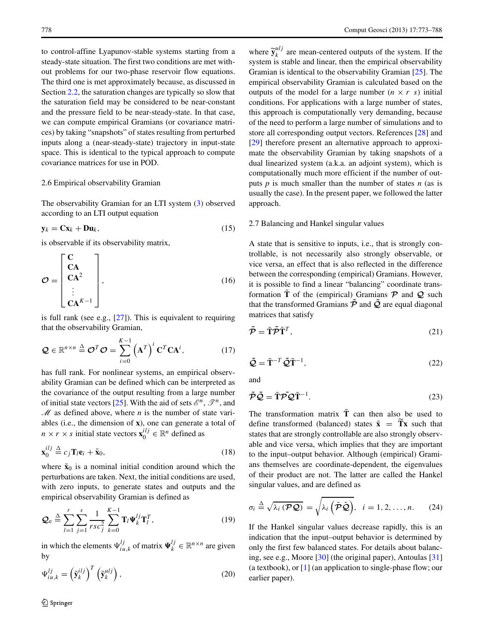to control-affine Lyapunov-stable systems starting from a steady-state situation. The first two conditions are met without problems for our two-phase reservoir flow equations. The third one is met approximately because, as discussed in Section [2.2,](#page-2-2) the saturation changes are typically so slow that the saturation field may be considered to be near-constant and the pressure field to be near-steady-state. In that case, we can compute empirical Gramians (or covariance matrices) by taking "snapshots" of states resulting from perturbed inputs along a (near-steady-state) trajectory in input-state space. This is identical to the typical approach to compute covariance matrices for use in POD.

#### 2.6 Empirical observability Gramian

The observability Gramian for an LTI system [\(3\)](#page-3-0) observed according to an LTI output equation

$$
\mathbf{y}_k = \mathbf{C}\mathbf{x}_k + \mathbf{D}\mathbf{u}_k,\tag{15}
$$

is observable if its observability matrix,

$$
\mathcal{O} = \begin{bmatrix} \mathbf{C} \\ \mathbf{C}\mathbf{A} \\ \mathbf{C}\mathbf{A}^2 \\ \vdots \\ \mathbf{C}\mathbf{A}^{K-1} \end{bmatrix},
$$
(16)

is full rank (see e.g.,  $[27]$ ). This is equivalent to requiring that the observability Gramian,

$$
\mathcal{Q} \in \mathbb{R}^{n \times n} \stackrel{\Delta}{=} \mathcal{O}^T \mathcal{O} = \sum_{i=0}^{K-1} (\mathbf{A}^T)^i \mathbf{C}^T \mathbf{C} \mathbf{A}^i, \tag{17}
$$

has full rank. For nonlinear systems, an empirical observability Gramian can be defined which can be interpreted as the covariance of the output resulting from a large number of initial state vectors [\[25\]](#page-15-19). With the aid of sets  $\mathcal{E}^n$ ,  $\mathcal{T}^n$ , and  $M$  as defined above, where *n* is the number of state variables (i.e., the dimension of **x**), one can generate a total of  $n \times r \times s$  initial state vectors  $\mathbf{x}_0^{i l j} \in \mathbb{R}^n$  defined as

$$
\mathbf{x}_0^{i l j} \triangleq c_j \mathbf{T}_l \mathbf{e}_i + \mathbf{\check{x}}_0,\tag{18}
$$

where  $\check{\mathbf{x}}_0$  is a nominal initial condition around which the perturbations are taken. Next, the initial conditions are used, with zero inputs, to generate states and outputs and the empirical observability Gramian is defined as

$$
\mathcal{Q}_{e} \stackrel{\Delta}{=} \sum_{l=1}^{r} \sum_{j=1}^{s} \frac{1}{rsc_{j}^{2}} \sum_{k=0}^{K-1} \mathbf{T}_{l} \Psi_{k}^{lj} \mathbf{T}_{l}^{T},
$$
\n(19)

in which the elements  $\Psi_{i\mu,k}^{lj}$  of matrix  $\Psi_k^{lj} \in \mathbb{R}^{n \times n}$  are given by

$$
\Psi_{iu,k}^{lj} = \left(\tilde{\mathbf{y}}_k^{ilj}\right)^T \left(\tilde{\mathbf{y}}_k^{ulj}\right),\tag{20}
$$

where  $\tilde{\mathbf{y}}_k^{ulj}$  are mean-centered outputs of the system. If the system is stable and linear than the ampirical observability system is stable and linear, then the empirical observability Gramian is identical to the observability Gramian [\[25\]](#page-15-19). The empirical observability Gramian is calculated based on the outputs of the model for a large number  $(n \times r \ s)$  initial conditions. For applications with a large number of states, this approach is computationally very demanding, because of the need to perform a large number of simulations and to store all corresponding output vectors. References [\[28\]](#page-15-22) and [\[29\]](#page-15-23) therefore present an alternative approach to approximate the observability Gramian by taking snapshots of a dual linearized system (a.k.a. an adjoint system), which is computationally much more efficient if the number of outputs *p* is much smaller than the number of states *n* (as is usually the case). In the present paper, we followed the latter approach.

#### 2.7 Balancing and Hankel singular values

A state that is sensitive to inputs, i.e., that is strongly controllable, is not necessarily also strongly observable, or vice versa, an effect that is also reflected in the difference between the corresponding (empirical) Gramians. However, it is possible to find a linear "balancing" coordinate transformation  $\tilde{T}$  of the (empirical) Gramians  $\mathcal{P}$  and  $\mathcal{Q}$  such that the transformed Gramians  $\tilde{\mathcal{P}}$  and  $\tilde{\mathcal{Q}}$  are equal diagonal matrices that satisfy

$$
\tilde{\mathcal{P}} = \tilde{\mathbf{T}} \tilde{\mathcal{P}} \tilde{\mathbf{T}}^T,\tag{21}
$$

$$
\tilde{\mathbf{Q}} = \tilde{\mathbf{T}}^{-T} \tilde{\mathbf{Q}} \tilde{\mathbf{T}}^{-1},\tag{22}
$$

and

$$
\tilde{\mathcal{P}}\tilde{\mathcal{Q}} = \tilde{\mathbf{T}}\tilde{\mathcal{P}}\tilde{\mathcal{Q}}\tilde{\mathbf{T}}^{-1}.
$$
\n(23)

<span id="page-5-1"></span>The transformation matrix  $\tilde{T}$  can then also be used to define transformed (balanced) states  $\tilde{\mathbf{x}} = \mathbf{T}\mathbf{x}$  such that states that are strongly controllable are also strongly observable and vice versa, which implies that they are important to the input–output behavior. Although (empirical) Gramians themselves are coordinate-dependent, the eigenvalues of their product are not. The latter are called the Hankel singular values, and are defined as

<span id="page-5-0"></span>
$$
\sigma_i \stackrel{\Delta}{=} \sqrt{\lambda_i (\mathcal{P} \mathcal{Q})} = \sqrt{\lambda_i (\mathcal{P} \tilde{\mathcal{Q}})}, \quad i = 1, 2, \dots, n. \tag{24}
$$

If the Hankel singular values decrease rapidly, this is an indication that the input–output behavior is determined by only the first few balanced states. For details about balancing, see e.g., Moore [\[30\]](#page-15-24) (the original paper), Antoulas [\[31\]](#page-15-25) (a textbook), or [\[1\]](#page-15-0) (an application to single-phase flow; our earlier paper).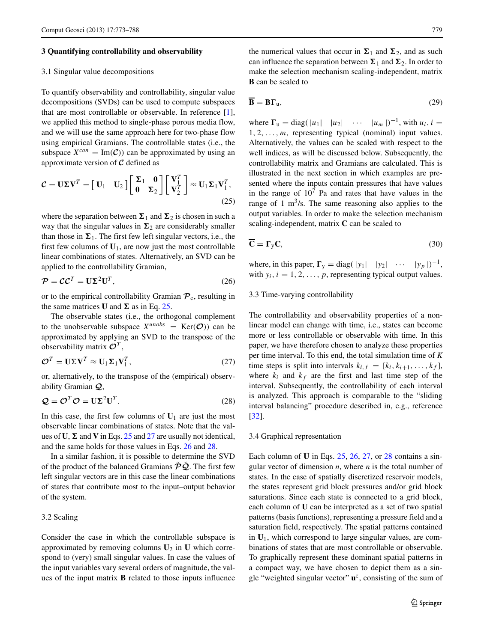#### **3 Quantifying controllability and observability**

#### 3.1 Singular value decompositions

To quantify observability and controllability, singular value decompositions (SVDs) can be used to compute subspaces that are most controllable or observable. In reference [\[1\]](#page-15-0), we applied this method to single-phase porous media flow, and we will use the same approach here for two-phase flow using empirical Gramians. The controllable states (i.e., the subspace  $X^{con} = \text{Im}(\mathcal{C})$  can be approximated by using an approximate version of *C* defined as

$$
\mathcal{C} = \mathbf{U} \mathbf{\Sigma} \mathbf{V}^T = \begin{bmatrix} \mathbf{U}_1 & \mathbf{U}_2 \end{bmatrix} \begin{bmatrix} \mathbf{\Sigma}_1 & \mathbf{0} \\ \mathbf{0} & \mathbf{\Sigma}_2 \end{bmatrix} \begin{bmatrix} \mathbf{V}_1^T \\ \mathbf{V}_2^T \end{bmatrix} \approx \mathbf{U}_1 \mathbf{\Sigma}_1 \mathbf{V}_1^T,\tag{25}
$$

where the separation between  $\Sigma_1$  and  $\Sigma_2$  is chosen in such a way that the singular values in  $\Sigma_2$  are considerably smaller than those in  $\Sigma_1$ . The first few left singular vectors, i.e., the first few columns of  $U_1$ , are now just the most controllable linear combinations of states. Alternatively, an SVD can be applied to the controllability Gramian,

$$
\mathcal{P} = \mathcal{C}\mathcal{C}^T = \mathbf{U}\mathbf{\Sigma}^2\mathbf{U}^T,\tag{26}
$$

or to the empirical controllability Gramian  $\mathcal{P}_{e}$ , resulting in the same matrices **U** and  $\Sigma$  as in Eq. [25.](#page-6-0)

The observable states (i.e., the orthogonal complement to the unobservable subspace  $X^{unobs} = \text{Ker}(\mathcal{O})$  can be approximated by applying an SVD to the transpose of the observability matrix  $\mathcal{O}^T$ ,

<span id="page-6-1"></span>
$$
\mathcal{O}^T = \mathbf{U} \Sigma \mathbf{V}^T \approx \mathbf{U}_1 \mathbf{\Sigma}_1 \mathbf{V}_1^T, \tag{27}
$$

<span id="page-6-3"></span>or, alternatively, to the transpose of the (empirical) observability Gramian *Q*,

$$
\mathcal{Q} = \mathcal{O}^T \mathcal{O} = \mathbf{U} \Sigma^2 \mathbf{U}^T. \tag{28}
$$

In this case, the first few columns of  $U_1$  are just the most observable linear combinations of states. Note that the values of  $U$ ,  $\Sigma$  and  $V$  in Eqs. [25](#page-6-0) and [27](#page-6-1) are usually not identical, and the same holds for those values in Eqs. [26](#page-6-2) and [28.](#page-6-3)

In a similar fashion, it is possible to determine the SVD of the product of the balanced Gramians  $\tilde{\mathcal{P}}\tilde{\mathcal{Q}}$ . The first few left singular vectors are in this case the linear combinations of states that contribute most to the input–output behavior of the system.

# 3.2 Scaling

Consider the case in which the controllable subspace is approximated by removing columns **U**<sup>2</sup> in **U** which correspond to (very) small singular values. In case the values of the input variables vary several orders of magnitude, the values of the input matrix **B** related to those inputs influence the numerical values that occur in  $\Sigma_1$  and  $\Sigma_2$ , and as such can influence the separation between  $\Sigma_1$  and  $\Sigma_2$ . In order to make the selection mechanism scaling-independent, matrix **B** can be scaled to

$$
\overline{\mathbf{B}} = \mathbf{B} \Gamma_{\mathbf{u}},\tag{29}
$$

<span id="page-6-0"></span>where  $\Gamma_{\text{u}} = \text{diag}(|u_1| |u_2| \cdots |u_m|)^{-1}$ , with  $u_i, i =$ 1*,* 2*,...,m*, representing typical (nominal) input values. Alternatively, the values can be scaled with respect to the well indices, as will be discussed below. Subsequently, the controllability matrix and Gramians are calculated. This is illustrated in the next section in which examples are presented where the inputs contain pressures that have values in the range of  $10<sup>7</sup>$  Pa and rates that have values in the range of 1  $\text{m}^3$ /s. The same reasoning also applies to the output variables. In order to make the selection mechanism scaling-independent, matrix **C** can be scaled to

$$
\overline{\mathbf{C}} = \mathbf{\Gamma}_{\mathbf{y}} \mathbf{C},\tag{30}
$$

<span id="page-6-2"></span>where, in this paper,  $\Gamma_y = \text{diag}(|y_1| |y_2| \cdots |y_p|)^{-1}$ , with  $y_i$ ,  $i = 1, 2, \ldots, p$ , representing typical output values.

### 3.3 Time-varying controllability

The controllability and observability properties of a nonlinear model can change with time, i.e., states can become more or less controllable or observable with time. In this paper, we have therefore chosen to analyze these properties per time interval. To this end, the total simulation time of *K* time steps is split into intervals  $k_{i,f} = [k_i, k_{i+1}, \ldots, k_f]$ , where  $k_i$  and  $k_f$  are the first and last time step of the interval. Subsequently, the controllability of each interval is analyzed. This approach is comparable to the "sliding interval balancing" procedure described in, e.g., reference [\[32\]](#page-15-26).

#### 3.4 Graphical representation

Each column of **U** in Eqs. [25,](#page-6-0) [26,](#page-6-2) [27,](#page-6-1) or [28](#page-6-3) contains a singular vector of dimension *n*, where *n* is the total number of states. In the case of spatially discretized reservoir models, the states represent grid block pressures and/or grid block saturations. Since each state is connected to a grid block, each column of **U** can be interpreted as a set of two spatial patterns (basis functions), representing a pressure field and a saturation field, respectively. The spatial patterns contained in **U**1, which correspond to large singular values, are combinations of states that are most controllable or observable. To graphically represent these dominant spatial patterns in a compact way, we have chosen to depict them as a single "weighted singular vector"  $\mathbf{u}^z$ , consisting of the sum of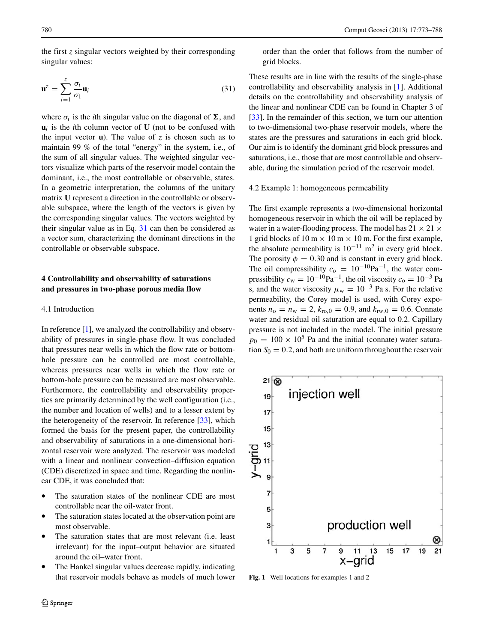<span id="page-7-0"></span>the first *z* singular vectors weighted by their corresponding singular values:

$$
\mathbf{u}^z = \sum_{i=1}^z \frac{\sigma_i}{\sigma_1} \mathbf{u}_i
$$
 (31)

where  $\sigma_i$  is the *i*th singular value on the diagonal of  $\Sigma$ , and  $\mathbf{u}_i$  is the *i*th column vector of **U** (not to be confused with the input vector **). The value of**  $z$  **is chosen such as to** maintain 99 % of the total "energy" in the system, i.e., of the sum of all singular values. The weighted singular vectors visualize which parts of the reservoir model contain the dominant, i.e., the most controllable or observable, states. In a geometric interpretation, the columns of the unitary matrix **U** represent a direction in the controllable or observable subspace, where the length of the vectors is given by the corresponding singular values. The vectors weighted by their singular value as in Eq. [31](#page-7-0) can then be considered as a vector sum, characterizing the dominant directions in the controllable or observable subspace.

# **4 Controllability and observability of saturations and pressures in two-phase porous media flow**

## 4.1 Introduction

In reference [\[1\]](#page-15-0), we analyzed the controllability and observability of pressures in single-phase flow. It was concluded that pressures near wells in which the flow rate or bottomhole pressure can be controlled are most controllable, whereas pressures near wells in which the flow rate or bottom-hole pressure can be measured are most observable. Furthermore, the controllability and observability properties are primarily determined by the well configuration (i.e., the number and location of wells) and to a lesser extent by the heterogeneity of the reservoir. In reference [\[33\]](#page-15-27), which formed the basis for the present paper, the controllability and observability of saturations in a one-dimensional horizontal reservoir were analyzed. The reservoir was modeled with a linear and nonlinear convection–diffusion equation (CDE) discretized in space and time. Regarding the nonlinear CDE, it was concluded that:

- The saturation states of the nonlinear CDE are most controllable near the oil-water front.
- The saturation states located at the observation point are most observable.
- The saturation states that are most relevant (i.e. least irrelevant) for the input–output behavior are situated around the oil–water front.
- The Hankel singular values decrease rapidly, indicating that reservoir models behave as models of much lower

 $\textcircled{2}$  Springer

order than the order that follows from the number of grid blocks.

These results are in line with the results of the single-phase controllability and observability analysis in [\[1\]](#page-15-0). Additional details on the controllability and observability analysis of the linear and nonlinear CDE can be found in Chapter 3 of [\[33\]](#page-15-27). In the remainder of this section, we turn our attention to two-dimensional two-phase reservoir models, where the states are the pressures and saturations in each grid block. Our aim is to identify the dominant grid block pressures and saturations, i.e., those that are most controllable and observable, during the simulation period of the reservoir model.

#### 4.2 Example 1: homogeneous permeability

The first example represents a two-dimensional horizontal homogeneous reservoir in which the oil will be replaced by water in a water-flooding process. The model has  $21 \times 21 \times$ 1 grid blocks of 10 m  $\times$  10 m  $\times$  10 m. For the first example, the absolute permeability is  $10^{-11}$  m<sup>2</sup> in every grid block. The porosity  $\phi = 0.30$  and is constant in every grid block. The oil compressibility  $c_0 = 10^{-10} Pa^{-1}$ , the water compressibility  $c_w = 10^{-10} Pa^{-1}$ , the oil viscosity  $c_0 = 10^{-3} Pa$ s, and the water viscosity  $\mu_w = 10^{-3}$  Pa s. For the relative permeability, the Corey model is used, with Corey exponents  $n_0 = n_w = 2$ ,  $k_{\text{ro},0} = 0.9$ , and  $k_{\text{rw},0} = 0.6$ . Connate water and residual oil saturation are equal to 0.2. Capillary pressure is not included in the model. The initial pressure  $p_0 = 100 \times 10^5$  Pa and the initial (connate) water saturation  $S_0 = 0.2$ , and both are uniform throughout the reservoir

<span id="page-7-1"></span>

**Fig. 1** Well locations for examples 1 and 2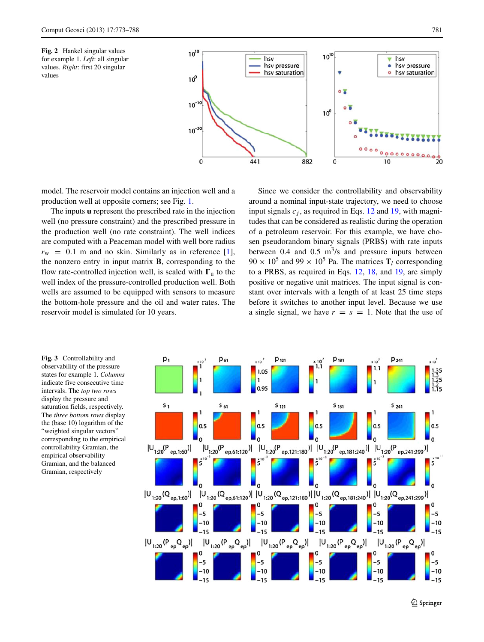<span id="page-8-0"></span>



model. The reservoir model contains an injection well and a production well at opposite corners; see Fig. [1.](#page-7-1)

The inputs **u** represent the prescribed rate in the injection well (no pressure constraint) and the prescribed pressure in the production well (no rate constraint). The well indices are computed with a Peaceman model with well bore radius  $r_w = 0.1$  m and no skin. Similarly as in reference [\[1\]](#page-15-0), the nonzero entry in input matrix **B**, corresponding to the flow rate-controlled injection well, is scaled with  $\Gamma_{\rm u}$  to the well index of the pressure-controlled production well. Both wells are assumed to be equipped with sensors to measure the bottom-hole pressure and the oil and water rates. The reservoir model is simulated for 10 years.

Since we consider the controllability and observability around a nominal input-state trajectory, we need to choose input signals  $c_j$ , as required in Eqs. [12](#page-4-3) and [19,](#page-5-0) with magnitudes that can be considered as realistic during the operation of a petroleum reservoir. For this example, we have chosen pseudorandom binary signals (PRBS) with rate inputs between 0.4 and 0.5  $\text{m}^3$ /s and pressure inputs between  $90 \times 10^5$  and  $99 \times 10^5$  Pa. The matrices **T**<sub>*l*</sub> corresponding to a PRBS, as required in Eqs. [12,](#page-4-3) [18,](#page-5-1) and [19,](#page-5-0) are simply positive or negative unit matrices. The input signal is constant over intervals with a length of at least 25 time steps before it switches to another input level. Because we use a single signal, we have  $r = s = 1$ . Note that the use of

<span id="page-8-1"></span>**Fig. 3** Controllability and observability of the pressure states for example 1. *Columns* indicate five consecutive time intervals. The *top two rows* display the pressure and saturation fields, respectively. The *three bottom rows* display the (base 10) logarithm of the "weighted singular vectors" corresponding to the empirical controllability Gramian, the empirical observability Gramian, and the balanced Gramian, respectively

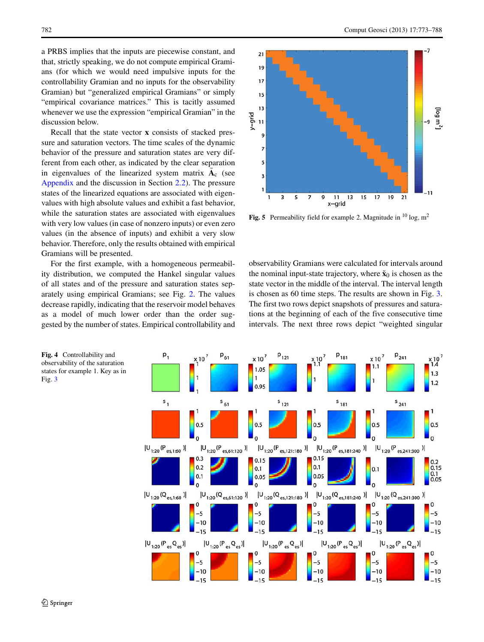a PRBS implies that the inputs are piecewise constant, and that, strictly speaking, we do not compute empirical Gramians (for which we would need impulsive inputs for the controllability Gramian and no inputs for the observability Gramian) but "generalized empirical Gramians" or simply "empirical covariance matrices." This is tacitly assumed whenever we use the expression "empirical Gramian" in the discussion below.

Recall that the state vector **x** consists of stacked pressure and saturation vectors. The time scales of the dynamic behavior of the pressure and saturation states are very different from each other, as indicated by the clear separation in eigenvalues of the linearized system matrix  $A_c$  (see [Appendix](#page-12-0) and the discussion in Section [2.2\)](#page-2-2). The pressure states of the linearized equations are associated with eigenvalues with high absolute values and exhibit a fast behavior, while the saturation states are associated with eigenvalues with very low values (in case of nonzero inputs) or even zero values (in the absence of inputs) and exhibit a very slow behavior. Therefore, only the results obtained with empirical Gramians will be presented.

For the first example, with a homogeneous permeability distribution, we computed the Hankel singular values of all states and of the pressure and saturation states separately using empirical Gramians; see Fig. [2.](#page-8-0) The values decrease rapidly, indicating that the reservoir model behaves as a model of much lower order than the order suggested by the number of states. Empirical controllability and

<span id="page-9-1"></span>

**Fig. 5** Permeability field for example 2. Magnitude in <sup>10</sup> log*,* m2

observability Gramians were calculated for intervals around the nominal input-state trajectory, where  $\check{\mathbf{x}}_0$  is chosen as the state vector in the middle of the interval. The interval length is chosen as 60 time steps. The results are shown in Fig. [3.](#page-8-1) The first two rows depict snapshots of pressures and saturations at the beginning of each of the five consecutive time intervals. The next three rows depict "weighted singular



<span id="page-9-0"></span>**Fig. 4** Controllability and observability of the saturation states for example 1. Key as in Fig. [3](#page-8-1)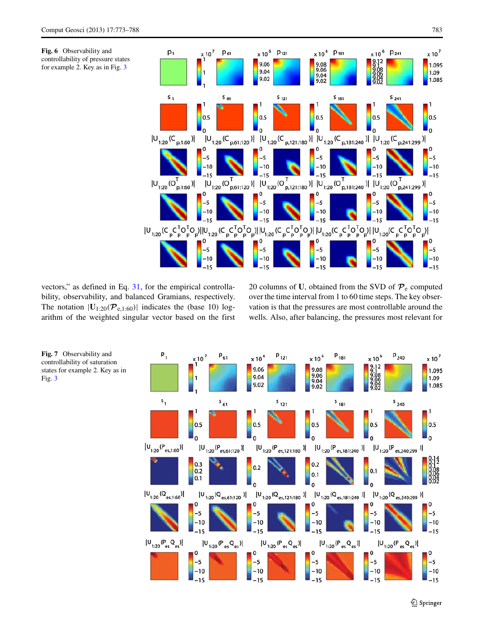<span id="page-10-0"></span>



vectors," as defined in Eq. [31,](#page-7-0) for the empirical controllability, observability, and balanced Gramians, respectively. The notation  $|\mathbf{U}_{1:20}(\mathcal{P}_{e,1:60})|$  indicates the (base 10) logarithm of the weighted singular vector based on the first

20 columns of **U**, obtained from the SVD of *P*<sup>e</sup> computed over the time interval from 1 to 60 time steps. The key observation is that the pressures are most controllable around the wells. Also, after balancing, the pressures most relevant for



<span id="page-10-1"></span>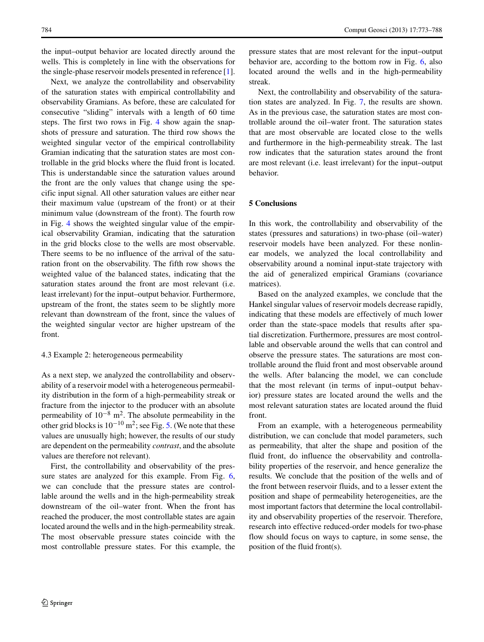the input–output behavior are located directly around the wells. This is completely in line with the observations for the single-phase reservoir models presented in reference [\[1\]](#page-15-0).

Next, we analyze the controllability and observability of the saturation states with empirical controllability and observability Gramians. As before, these are calculated for consecutive "sliding" intervals with a length of 60 time steps. The first two rows in Fig. [4](#page-9-0) show again the snapshots of pressure and saturation. The third row shows the weighted singular vector of the empirical controllability Gramian indicating that the saturation states are most controllable in the grid blocks where the fluid front is located. This is understandable since the saturation values around the front are the only values that change using the specific input signal. All other saturation values are either near their maximum value (upstream of the front) or at their minimum value (downstream of the front). The fourth row in Fig. [4](#page-9-0) shows the weighted singular value of the empirical observability Gramian, indicating that the saturation in the grid blocks close to the wells are most observable. There seems to be no influence of the arrival of the saturation front on the observability. The fifth row shows the weighted value of the balanced states, indicating that the saturation states around the front are most relevant (i.e. least irrelevant) for the input–output behavior. Furthermore, upstream of the front, the states seem to be slightly more relevant than downstream of the front, since the values of the weighted singular vector are higher upstream of the front.

#### 4.3 Example 2: heterogeneous permeability

As a next step, we analyzed the controllability and observability of a reservoir model with a heterogeneous permeability distribution in the form of a high-permeability streak or fracture from the injector to the producer with an absolute permeability of  $10^{-8}$  m<sup>2</sup>. The absolute permeability in the other grid blocks is  $10^{-10}$  m<sup>2</sup>; see Fig. [5.](#page-9-1) (We note that these values are unusually high; however, the results of our study are dependent on the permeability *contrast*, and the absolute values are therefore not relevant).

First, the controllability and observability of the pres-sure states are analyzed for this example. From Fig. [6,](#page-10-0) we can conclude that the pressure states are controllable around the wells and in the high-permeability streak downstream of the oil–water front. When the front has reached the producer, the most controllable states are again located around the wells and in the high-permeability streak. The most observable pressure states coincide with the most controllable pressure states. For this example, the pressure states that are most relevant for the input–output behavior are, according to the bottom row in Fig. [6,](#page-10-0) also located around the wells and in the high-permeability streak.

Next, the controllability and observability of the saturation states are analyzed. In Fig. [7,](#page-10-1) the results are shown. As in the previous case, the saturation states are most controllable around the oil–water front. The saturation states that are most observable are located close to the wells and furthermore in the high-permeability streak. The last row indicates that the saturation states around the front are most relevant (i.e. least irrelevant) for the input–output behavior.

# **5 Conclusions**

In this work, the controllability and observability of the states (pressures and saturations) in two-phase (oil–water) reservoir models have been analyzed. For these nonlinear models, we analyzed the local controllability and observability around a nominal input-state trajectory with the aid of generalized empirical Gramians (covariance matrices).

Based on the analyzed examples, we conclude that the Hankel singular values of reservoir models decrease rapidly, indicating that these models are effectively of much lower order than the state-space models that results after spatial discretization. Furthermore, pressures are most controllable and observable around the wells that can control and observe the pressure states. The saturations are most controllable around the fluid front and most observable around the wells. After balancing the model, we can conclude that the most relevant (in terms of input–output behavior) pressure states are located around the wells and the most relevant saturation states are located around the fluid front.

From an example, with a heterogeneous permeability distribution, we can conclude that model parameters, such as permeability, that alter the shape and position of the fluid front, do influence the observability and controllability properties of the reservoir, and hence generalize the results. We conclude that the position of the wells and of the front between reservoir fluids, and to a lesser extent the position and shape of permeability heterogeneities, are the most important factors that determine the local controllability and observability properties of the reservoir. Therefore, research into effective reduced-order models for two-phase flow should focus on ways to capture, in some sense, the position of the fluid front(s).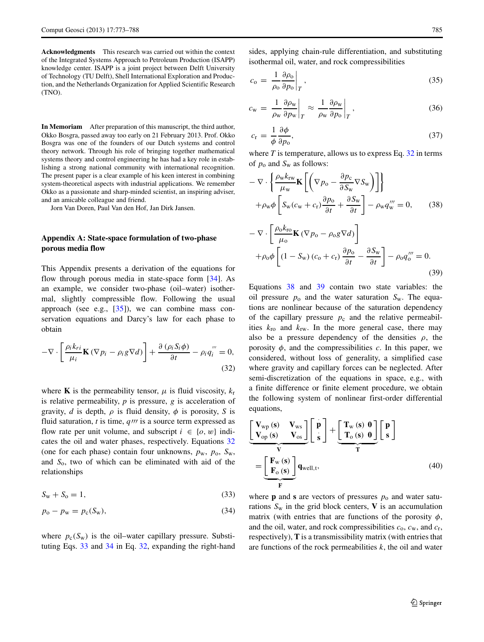**Acknowledgments** This research was carried out within the context of the Integrated Systems Approach to Petroleum Production (ISAPP) knowledge center. ISAPP is a joint project between Delft University of Technology (TU Delft), Shell International Exploration and Production, and the Netherlands Organization for Applied Scientific Research (TNO).

**In Memoriam** After preparation of this manuscript, the third author, Okko Bosgra, passed away too early on 21 February 2013. Prof. Okko Bosgra was one of the founders of our Dutch systems and control theory network. Through his role of bringing together mathematical systems theory and control engineering he has had a key role in establishing a strong national community with international recognition. The present paper is a clear example of his keen interest in combining system-theoretical aspects with industrial applications. We remember Okko as a passionate and sharp-minded scientist, an inspiring adviser, and an amicable colleague and friend.

<span id="page-12-0"></span>Jorn Van Doren, Paul Van den Hof, Jan Dirk Jansen.

# **Appendix A: State-space formulation of two-phase porous media flow**

This Appendix presents a derivation of the equations for flow through porous media in state-space form [\[34\]](#page-15-28). As an example, we consider two-phase (oil–water) isothermal, slightly compressible flow. Following the usual approach (see e.g.,  $[35]$ ), we can combine mass conservation equations and Darcy's law for each phase to obtain

<span id="page-12-1"></span>
$$
-\nabla \cdot \left[\frac{\rho_i k_{ri}}{\mu_i} \mathbf{K} \left(\nabla p_i - \rho_i g \nabla d\right)\right] + \frac{\partial \left(\rho_i S_i \phi\right)}{\partial t} - \rho_i q_i^{'''} = 0,
$$
\n(32)

where **K** is the permeability tensor,  $\mu$  is fluid viscosity,  $k_r$ is relative permeability, *p* is pressure, *g* is acceleration of gravity, *d* is depth,  $\rho$  is fluid density,  $\phi$  is porosity, *S* is fluid saturation,  $t$  is time,  $q^{\prime\prime\prime}$  is a source term expressed as flow rate per unit volume, and subscript  $i \in \{o, w\}$  indicates the oil and water phases, respectively. Equations [32](#page-12-1) (one for each phase) contain four unknowns,  $p_w$ ,  $p_o$ ,  $S_w$ , and *S*o, two of which can be eliminated with aid of the relationships

<span id="page-12-2"></span>
$$
S_{\rm w} + S_{\rm o} = 1,\tag{33}
$$

<span id="page-12-3"></span>
$$
p_o - p_w = p_c(S_w),\tag{34}
$$

where  $p_c(S_w)$  is the oil–water capillary pressure. Substituting Eqs. [33](#page-12-2) and [34](#page-12-3) in Eq. [32,](#page-12-1) expanding the right-hand sides, applying chain-rule differentiation, and substituting isothermal oil, water, and rock compressibilities

$$
c_0 = \left. \frac{1}{\rho_0} \frac{\partial \rho_0}{\partial p_0} \right|_T, \tag{35}
$$

$$
c_{\rm w} = \left. \frac{1}{\rho_{\rm w}} \frac{\partial \rho_{\rm w}}{\partial p_{\rm w}} \right|_T \approx \left. \frac{1}{\rho_{\rm w}} \frac{\partial \rho_{\rm w}}{\partial p_{\rm o}} \right|_T, \tag{36}
$$

$$
c_{\rm r} = \frac{1}{\phi} \frac{\partial \phi}{\partial p_{\rm o}},\tag{37}
$$

where  $T$  is temperature, allows us to express Eq.  $32$  in terms of *p*<sup>o</sup> and *S*<sup>w</sup> as follows:

<span id="page-12-4"></span>
$$
- \nabla \cdot \left\{ \frac{\rho_{\rm w} k_{\rm rw}}{\mu_{\rm w}} \mathbf{K} \left[ \left( \nabla p_{\rm o} - \frac{\partial p_{\rm c}}{\partial S_{\rm w}} \nabla S_{\rm w} \right) \right] \right\}
$$

$$
+ \rho_{\rm w} \phi \left[ S_{\rm w}(c_{\rm w} + c_{\rm r}) \frac{\partial p_{\rm o}}{\partial t} + \frac{\partial S_{\rm w}}{\partial t} \right] - \rho_{\rm w} q_{\rm w}'' = 0, \qquad (38)
$$

<span id="page-12-5"></span>
$$
-\nabla \cdot \left[\frac{\rho_0 k_{\rm ro}}{\mu_0} \mathbf{K} \left(\nabla p_0 - \rho_0 g \nabla d\right)\right]
$$

$$
+\rho_0 \phi \left[ (1 - S_{\rm w}) \left(c_0 + c_{\rm r}\right) \frac{\partial p_0}{\partial t} - \frac{\partial S_{\rm w}}{\partial t} \right] - \rho_0 q_0''' = 0. \tag{39}
$$

Equations [38](#page-12-4) and [39](#page-12-5) contain two state variables: the oil pressure  $p_0$  and the water saturation  $S_w$ . The equations are nonlinear because of the saturation dependency of the capillary pressure  $p_c$  and the relative permeabilities  $k_{\text{ro}}$  and  $k_{\text{rw}}$ . In the more general case, there may also be a pressure dependency of the densities  $\rho$ , the porosity  $\phi$ , and the compressibilities *c*. In this paper, we considered, without loss of generality, a simplified case where gravity and capillary forces can be neglected. After semi-discretization of the equations in space, e.g., with a finite difference or finite element procedure, we obtain the following system of nonlinear first-order differential equations,

<span id="page-12-6"></span>
$$
\underbrace{\begin{bmatrix} \mathbf{V}_{\text{wp}}\left(s\right) & \mathbf{V}_{\text{ws}} \\ \mathbf{V}_{\text{op}}\left(s\right) & \mathbf{V}_{\text{os}} \end{bmatrix}}_{\mathbf{F}} \begin{bmatrix} \dot{\mathbf{p}} \\ \dot{s} \end{bmatrix} + \underbrace{\begin{bmatrix} \mathbf{T}_{\text{w}}\left(s\right) & \mathbf{0} \\ \mathbf{T}_{\text{o}}\left(s\right) & \mathbf{0} \end{bmatrix}}_{\mathbf{T}} \begin{bmatrix} \mathbf{p} \\ \mathbf{s} \end{bmatrix}
$$
\n
$$
= \underbrace{\begin{bmatrix} \mathbf{F}_{\text{w}}\left(s\right) \\ \mathbf{F}_{\text{o}}\left(s\right) \end{bmatrix}}_{\mathbf{F}} \mathbf{q}_{\text{well},t}, \tag{40}
$$

where **p** and **s** are vectors of pressures  $p_0$  and water saturations  $S_w$  in the grid block centers, **V** is an accumulation matrix (with entries that are functions of the porosity  $\phi$ , and the oil, water, and rock compressibilities  $c_0$ ,  $c_w$ , and  $c_r$ , respectively), **T** is a transmissibility matrix (with entries that are functions of the rock permeabilities *k*, the oil and water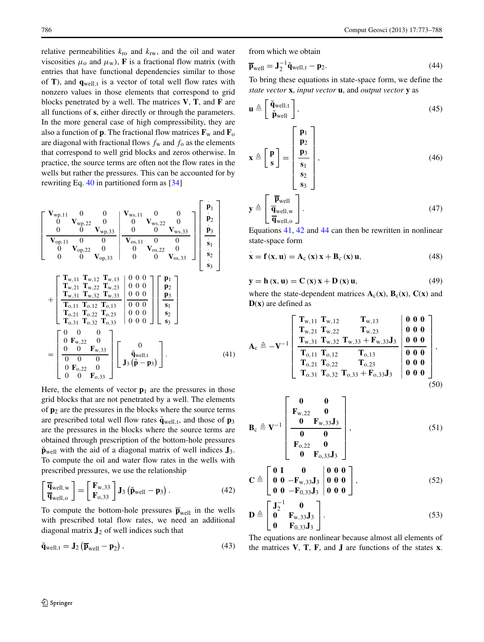relative permeabilities  $k_{\text{ro}}$  and  $k_{\text{rw}}$ , and the oil and water viscosities  $\mu_0$  and  $\mu_w$ ), **F** is a fractional flow matrix (with entries that have functional dependencies similar to those of **T**), and **q**well*,*<sup>t</sup> is a vector of total well flow rates with nonzero values in those elements that correspond to grid blocks penetrated by a well. The matrices **V**, **T**, and **F** are all functions of **s**, either directly or through the parameters. In the more general case of high compressibility, they are also a function of **p**. The fractional flow matrices  $\mathbf{F}_w$  and  $\mathbf{F}_o$ are diagonal with fractional flows  $f_w$  and  $f_0$  as the elements that correspond to well grid blocks and zeros otherwise. In practice, the source terms are often not the flow rates in the wells but rather the pressures. This can be accounted for by rewriting Eq. [40](#page-12-6) in partitioned form as [\[34\]](#page-15-28)

<span id="page-13-2"></span>
$$
\begin{bmatrix}\n\mathbf{V}_{wp,11} & 0 & 0 & 0 \\
0 & \mathbf{V}_{wp,22} & 0 & 0 & \mathbf{V}_{ws,11} & 0 & 0 \\
0 & 0 & \mathbf{V}_{wp,33} & 0 & 0 & \mathbf{V}_{ws,22} & 0 \\
\hline\n\mathbf{V}_{op,11} & 0 & 0 & 0 & \mathbf{V}_{os,11} & 0 & 0 \\
0 & \mathbf{V}_{op,22} & 0 & 0 & \mathbf{V}_{os,22} & 0 \\
0 & 0 & \mathbf{V}_{op,33} & 0 & 0 & \mathbf{V}_{os,33}\n\end{bmatrix}\n\begin{bmatrix}\n\dot{\mathbf{p}}_1 \\
\dot{\mathbf{p}}_2 \\
\dot{\mathbf{p}}_3 \\
\dot{\mathbf{p}}_1 \\
\dot{\mathbf{p}}_2 \\
\dot{\mathbf{p}}_3 \\
\dot{\mathbf{p}}_4 \\
\dot{\mathbf{p}}_5 \\
\dot{\mathbf{p}}_2 \\
\dot{\mathbf{p}}_3 \\
\dot{\mathbf{p}}_4\n\end{bmatrix}
$$
\n
$$
+\n\begin{bmatrix}\n\mathbf{T}_{w,11} & \mathbf{T}_{w,12} & \mathbf{T}_{w,13} & 0 & 0 & 0 \\
\mathbf{T}_{w,21} & \mathbf{T}_{w,22} & \mathbf{T}_{w,23} & 0 & 0 & 0 \\
\mathbf{T}_{w,31} & \mathbf{T}_{w,32} & \mathbf{T}_{w,33} & 0 & 0 & 0 \\
\mathbf{T}_{o,11} & \mathbf{T}_{o,12} & \mathbf{T}_{o,13} & 0 & 0 & 0 \\
\mathbf{T}_{o,21} & \mathbf{T}_{o,22} & \mathbf{T}_{o,23} & 0 & 0 & 0 \\
\mathbf{T}_{o,31} & \mathbf{T}_{o,32} & \mathbf{T}_{o,33} & 0 & 0 & 0\n\end{bmatrix}\n\begin{bmatrix}\n\mathbf{p}_1 \\
\mathbf{p}_2 \\
\mathbf{p}_3 \\
\mathbf{s}_1 \\
\mathbf{s}_2 \\
\mathbf{s}_3\n\end{bmatrix}
$$
\n
$$
=\n\begin{bmatrix}\n0 & 0 & 0 & 0 \\
0 & \mathbf{F}_{w,22} & 0 \\
0 & 0 & \mathbf{F}_{w,33} \\
0 & 0
$$

Here, the elements of vector  $\mathbf{p}_1$  are the pressures in those grid blocks that are not penetrated by a well. The elements of **p**<sup>2</sup> are the pressures in the blocks where the source terms are prescribed total well flow rates  $\ddot{\mathbf{q}}_{well,t}$ , and those of  $\mathbf{p}_3$ are the pressures in the blocks where the source terms are obtained through prescription of the bottom-hole pressures  $\check{\mathbf{p}}_{\text{well}}$  with the aid of a diagonal matrix of well indices  $\mathbf{J}_3$ . To compute the oil and water flow rates in the wells with prescribed pressures, we use the relationship

$$
\left[\begin{array}{c}\n\overline{\mathbf{q}}_{\text{well},w} \\
\overline{\mathbf{q}}_{\text{well},o}\n\end{array}\right] = \left[\begin{array}{c}\n\mathbf{F}_{w,33} \\
\mathbf{F}_{o,33}\n\end{array}\right] \mathbf{J}_3 \left(\breve{\mathbf{p}}_{\text{well}} - \mathbf{p}_3\right). \tag{42}
$$

To compute the bottom-hole pressures  $\overline{p}_{well}$  in the wells with prescribed total flow rates, we need an additional diagonal matrix **J**<sup>2</sup> of well indices such that

$$
\breve{\mathbf{q}}_{\text{well,t}} = \mathbf{J}_2 \left( \overline{\mathbf{p}}_{\text{well}} - \mathbf{p}_2 \right),\tag{43}
$$

<span id="page-13-4"></span>from which we obtain

$$
\overline{\mathbf{p}}_{\text{well}} = \mathbf{J}_2^{-1} \breve{\mathbf{q}}_{\text{well,t}} - \mathbf{p}_2. \tag{44}
$$

To bring these equations in state-space form, we define the *state vector* **x**, *input vector* **u**, and *output vector* **y** as

$$
\mathbf{u} \triangleq \left[ \begin{array}{c} \mathbf{\check{q}}_{\text{well,t}} \\ \mathbf{\check{p}}_{\text{well}} \end{array} \right],\tag{45}
$$

$$
\mathbf{x} \triangleq \begin{bmatrix} \mathbf{p} \\ \mathbf{s} \end{bmatrix} = \begin{bmatrix} \mathbf{p}_1 \\ \mathbf{p}_2 \\ \mathbf{s}_1 \\ \mathbf{s}_2 \\ \mathbf{s}_3 \end{bmatrix},
$$
(46)  

$$
\mathbf{y} \triangleq \begin{bmatrix} \overline{\mathbf{p}}_{\text{well}} \\ \overline{\mathbf{q}}_{\text{well}} \\ \overline{\mathbf{q}}_{\text{well},\text{o}} \end{bmatrix}.
$$
(47)

Equations [41,](#page-13-2) [42](#page-13-3) and [44](#page-13-4) can then be rewritten in nonlinear state-space form

<span id="page-13-6"></span>
$$
\dot{\mathbf{x}} = \mathbf{f}(\mathbf{x}, \mathbf{u}) = \mathbf{A}_{\mathbf{c}}(\mathbf{x}) \mathbf{x} + \mathbf{B}_{\mathbf{c}}(\mathbf{x}) \mathbf{u}, \tag{48}
$$

<span id="page-13-7"></span>
$$
\mathbf{y} = \mathbf{h}(\mathbf{x}, \mathbf{u}) = \mathbf{C}(\mathbf{x})\mathbf{x} + \mathbf{D}(\mathbf{x})\mathbf{u},\tag{49}
$$

<span id="page-13-0"></span>where the state-dependent matrices  $A_c(x)$ ,  $B_c(x)$ ,  $C(x)$  and **D**(**x**) are defined as

$$
\mathbf{A}_{c} \triangleq -\mathbf{V}^{-1}\left[\begin{array}{c|c} \mathbf{T}_{w,11} & \mathbf{T}_{w,12} & \mathbf{T}_{w,13} \\ \mathbf{T}_{w,21} & \mathbf{T}_{w,22} & \mathbf{T}_{w,23} \\ \hline \mathbf{T}_{w,31} & \mathbf{T}_{w,32} & \mathbf{T}_{w,33} + \mathbf{F}_{w,33} \mathbf{J}_{3} \\ \hline \mathbf{T}_{0,11} & \mathbf{T}_{0,12} & \mathbf{T}_{0,13} \\ \hline \mathbf{T}_{0,21} & \mathbf{T}_{0,22} & \mathbf{T}_{0,23} \\ \mathbf{T}_{0,31} & \mathbf{T}_{0,32} & \mathbf{T}_{0,33} + \mathbf{F}_{0,33} \mathbf{J}_{3} \end{array}\right],\left[\begin{array}{c|c} \mathbf{0} & \mathbf{0} & \mathbf{0} \\ \mathbf{0} & \mathbf{0} & \mathbf{0} \\ \hline \mathbf{0} & \mathbf{0} & \mathbf{0} \\ \mathbf{0} & \mathbf{0} & \mathbf{0} \\ \mathbf{0} & \mathbf{0} & \mathbf{0} \\ \mathbf{0} & \mathbf{0} & \mathbf{0} \end{array}\right],\tag{50}
$$

<span id="page-13-5"></span>
$$
\mathbf{B}_{c} \triangleq \mathbf{V}^{-1} \begin{bmatrix} \mathbf{0} & \mathbf{0} \\ \mathbf{F}_{w,22} & \mathbf{0} \\ \mathbf{0} & \mathbf{F}_{w,33}\mathbf{J}_{3} \\ \hline \mathbf{0} & \mathbf{0} \\ \mathbf{F}_{o,22} & \mathbf{0} \\ \mathbf{0} & \mathbf{F}_{o,33}\mathbf{J}_{3} \end{bmatrix},
$$
(51)

<span id="page-13-3"></span>
$$
\mathbf{C} \triangleq \begin{bmatrix} \mathbf{0} & \mathbf{I} & \mathbf{0} \\ \mathbf{0} & \mathbf{0} & -\mathbf{F}_{w,33}\mathbf{J}_3 \\ \mathbf{0} & \mathbf{0} & -\mathbf{F}_{0,33}\mathbf{J}_3 \end{bmatrix} \begin{bmatrix} \mathbf{0} & \mathbf{0} & \mathbf{0} \\ \mathbf{0} & \mathbf{0} & \mathbf{0} \\ \mathbf{0} & \mathbf{0} & \mathbf{0} \end{bmatrix},
$$
(52)

<span id="page-13-1"></span>
$$
\mathbf{D} \triangleq \begin{bmatrix} \mathbf{J}_2^{-1} & \mathbf{0} \\ \mathbf{0} & \mathbf{F}_{w,33}\mathbf{J}_3 \\ \mathbf{0} & \mathbf{F}_{0,33}\mathbf{J}_3 \end{bmatrix} . \tag{53}
$$

The equations are nonlinear because almost all elements of the matrices **V**, **T**, **F**, and **J** are functions of the states **x**.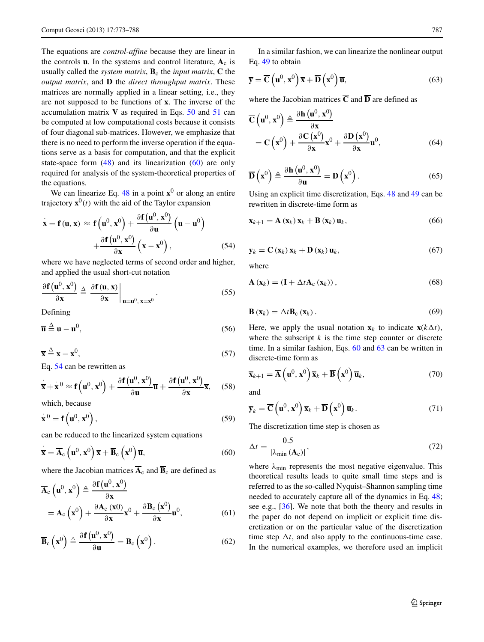The equations are *control-affine* because they are linear in the controls  $\bf{u}$ . In the systems and control literature,  $\bf{A}_c$  is usually called the *system matrix*,  $\mathbf{B}_c$  the *input matrix*,  $\mathbf{C}$  the *output matrix*, and **D** the *direct throughput matrix*. These matrices are normally applied in a linear setting, i.e., they are not supposed to be functions of **x**. The inverse of the accumulation matrix **V** as required in Eqs. [50](#page-13-0) and [51](#page-13-5) can be computed at low computational costs because it consists of four diagonal sub-matrices. However, we emphasize that there is no need to perform the inverse operation if the equations serve as a basis for computation, and that the explicit state-space form  $(48)$  and its linearization  $(60)$  are only required for analysis of the system-theoretical properties of the equations.

We can linearize Eq.  $48$  in a point  $\mathbf{x}^0$  or along an entire trajectory  $\mathbf{x}^0(t)$  with the aid of the Taylor expansion

<span id="page-14-5"></span>
$$
\dot{\mathbf{x}} = \mathbf{f}(\mathbf{u}, \mathbf{x}) \approx \mathbf{f}\left(\mathbf{u}^0, \mathbf{x}^0\right) + \frac{\partial \mathbf{f}\left(\mathbf{u}^0, \mathbf{x}^0\right)}{\partial \mathbf{u}} \left(\mathbf{u} - \mathbf{u}^0\right) + \frac{\partial \mathbf{f}\left(\mathbf{u}^0, \mathbf{x}^0\right)}{\partial \mathbf{x}} \left(\mathbf{x} - \mathbf{x}^0\right),
$$
 (54)

where we have neglected terms of second order and higher, and applied the usual short-cut notation

$$
\frac{\partial \mathbf{f}(\mathbf{u}^0, \mathbf{x}^0)}{\partial \mathbf{x}} \stackrel{\Delta}{=} \left. \frac{\partial \mathbf{f}(\mathbf{u}, \mathbf{x})}{\partial \mathbf{x}} \right|_{\mathbf{u} = \mathbf{u}^0, \mathbf{x} = \mathbf{x}^0} . \tag{55}
$$

Defining

$$
\overline{\mathbf{u}} \stackrel{\Delta}{=} \mathbf{u} - \mathbf{u}^0,\tag{56}
$$

$$
\overline{\mathbf{x}} \stackrel{\Delta}{=} \mathbf{x} - \mathbf{x}^0,\tag{57}
$$

Eq. [54](#page-14-5) can be rewritten as

$$
\dot{\overline{\mathbf{x}}} + \dot{\mathbf{x}}^0 \approx \mathbf{f}\left(\mathbf{u}^0, \mathbf{x}^0\right) + \frac{\partial \mathbf{f}\left(\mathbf{u}^0, \mathbf{x}^0\right)}{\partial \mathbf{u}} \overline{\mathbf{u}} + \frac{\partial \mathbf{f}\left(\mathbf{u}^0, \mathbf{x}^0\right)}{\partial \mathbf{x}} \overline{\mathbf{x}}, \quad (58)
$$

which, because

$$
\dot{\mathbf{x}}^0 = \mathbf{f}\left(\mathbf{u}^0, \mathbf{x}^0\right),\tag{59}
$$

can be reduced to the linearized system equations

$$
\dot{\overline{\mathbf{x}}} = \overline{\mathbf{A}}_{\rm c} \left( \mathbf{u}^0, \mathbf{x}^0 \right) \overline{\mathbf{x}} + \overline{\mathbf{B}}_{\rm c} \left( \mathbf{x}^0 \right) \overline{\mathbf{u}},\tag{60}
$$

where the Jacobian matrices  $\overline{A}_c$  and  $\overline{B}_c$  are defined as

$$
\overline{\mathbf{A}}_{c} \left(\mathbf{u}^{0}, \mathbf{x}^{0}\right) \triangleq \frac{\partial \mathbf{f} \left(\mathbf{u}^{0}, \mathbf{x}^{0}\right)}{\partial \mathbf{x}} \n= \mathbf{A}_{c} \left(\mathbf{x}^{0}\right) + \frac{\partial \mathbf{A}_{c} \left(\mathbf{x}^{0}\right)}{\partial \mathbf{x}} \mathbf{x}^{0} + \frac{\partial \mathbf{B}_{c} \left(\mathbf{x}^{0}\right)}{\partial \mathbf{x}} \mathbf{u}^{0},
$$
\n(61)

$$
\overline{\mathbf{B}}_{c}\left(\mathbf{x}^{0}\right) \triangleq \frac{\partial \mathbf{f}\left(\mathbf{u}^{0}, \mathbf{x}^{0}\right)}{\partial \mathbf{u}} = \mathbf{B}_{c}\left(\mathbf{x}^{0}\right). \tag{62}
$$

<span id="page-14-6"></span>In a similar fashion, we can linearize the nonlinear output Eq. [49](#page-13-7) to obtain

$$
\overline{\mathbf{y}} = \overline{\mathbf{C}} \left( \mathbf{u}^0, \mathbf{x}^0 \right) \overline{\mathbf{x}} + \overline{\mathbf{D}} \left( \mathbf{x}^0 \right) \overline{\mathbf{u}},\tag{63}
$$

where the Jacobian matrices  $\overline{C}$  and  $\overline{D}$  are defined as

$$
\overline{\mathbf{C}}\left(\mathbf{u}^{0}, \mathbf{x}^{0}\right) \triangleq \frac{\partial \mathbf{h}\left(\mathbf{u}^{0}, \mathbf{x}^{0}\right)}{\partial \mathbf{x}} \n= \mathbf{C}\left(\mathbf{x}^{0}\right) + \frac{\partial \mathbf{C}\left(\mathbf{x}^{0}\right)}{\partial \mathbf{x}}\mathbf{x}^{0} + \frac{\partial \mathbf{D}\left(\mathbf{x}^{0}\right)}{\partial \mathbf{x}}\mathbf{u}^{0},
$$
\n(64)

$$
\overline{\mathbf{D}}\left(\mathbf{x}^0\right) \triangleq \frac{\partial \mathbf{h}\left(\mathbf{u}^0, \mathbf{x}^0\right)}{\partial \mathbf{u}} = \mathbf{D}\left(\mathbf{x}^0\right). \tag{65}
$$

<span id="page-14-0"></span>Using an explicit time discretization, Eqs. [48](#page-13-6) and [49](#page-13-7) can be rewritten in discrete-time form as

$$
\mathbf{x}_{k+1} = \mathbf{A} \left( \mathbf{x}_k \right) \mathbf{x}_k + \mathbf{B} \left( \mathbf{x}_k \right) \mathbf{u}_k, \tag{66}
$$

$$
\mathbf{y}_{k} = \mathbf{C} \left( \mathbf{x}_{k} \right) \mathbf{x}_{k} + \mathbf{D} \left( \mathbf{x}_{k} \right) \mathbf{u}_{k},\tag{67}
$$

where

$$
\mathbf{A}\left(\mathbf{x}_{k}\right) = \left(\mathbf{I} + \Delta t \mathbf{A}_{c}\left(\mathbf{x}_{k}\right)\right),\tag{68}
$$

<span id="page-14-1"></span>
$$
\mathbf{B}\left(\mathbf{x}_{k}\right) = \Delta t \mathbf{B}_{c}\left(\mathbf{x}_{k}\right). \tag{69}
$$

Here, we apply the usual notation  $\mathbf{x}_k$  to indicate  $\mathbf{x}(k\Delta t)$ , where the subscript  $k$  is the time step counter or discrete time. In a similar fashion, Eqs. [60](#page-14-4) and [63](#page-14-6) can be written in discrete-time form as

<span id="page-14-2"></span>
$$
\overline{\mathbf{x}}_{k+1} = \overline{\mathbf{A}}\left(\mathbf{u}^0, \mathbf{x}^0\right) \overline{\mathbf{x}}_k + \overline{\mathbf{B}}\left(\mathbf{x}^0\right) \overline{\mathbf{u}}_k, \tag{70}
$$

<span id="page-14-3"></span>and

$$
\overline{\mathbf{y}}_k = \overline{\mathbf{C}} \left( \mathbf{u}^0, \mathbf{x}^0 \right) \overline{\mathbf{x}}_k + \overline{\mathbf{D}} \left( \mathbf{x}^0 \right) \overline{\mathbf{u}}_k. \tag{71}
$$

<span id="page-14-4"></span>The discretization time step is chosen as

<span id="page-14-7"></span>
$$
\Delta t = \frac{0.5}{|\lambda_{\min} (\mathbf{A}_{\text{c}})|},\tag{72}
$$

where  $\lambda_{\text{min}}$  represents the most negative eigenvalue. This theoretical results leads to quite small time steps and is referred to as the so-called Nyquist–Shannon sampling time needed to accurately capture all of the dynamics in Eq. [48;](#page-13-6) see e.g., [\[36\]](#page-15-30). We note that both the theory and results in the paper do not depend on implicit or explicit time discretization or on the particular value of the discretization time step  $\Delta t$ , and also apply to the continuous-time case. In the numerical examples, we therefore used an implicit